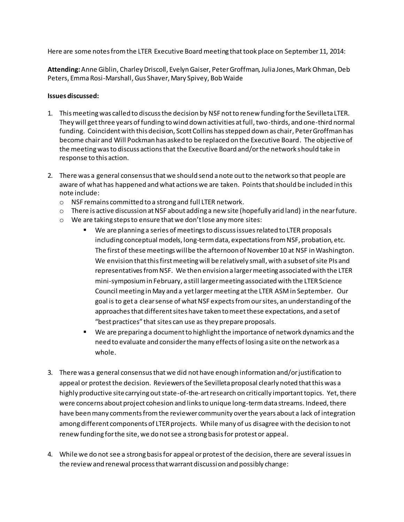Here are some notes from the LTER Executive Board meeting that took place on September 11, 2014:

**Attending:** Anne Giblin, Charley Driscoll, Evelyn Gaiser, Peter Groffman, Julia Jones, Mark Ohman, Deb Peters, Emma Rosi-Marshall,Gus Shaver, Mary Spivey, Bob Waide

## **Issues discussed:**

- 1. This meeting was called to discuss the decision by NSF not to renew funding for the Sevilleta LTER. They will get three years of funding to wind down activities at full, two-thirds, and one-third normal funding. Coincident with this decision, Scott Collins has stepped down as chair, Peter Groffman has become chair and Will Pockman has asked to be replaced on the Executive Board. The objective of the meeting was to discuss actions that the Executive Board and/or the network should take in response to this action.
- 2. There was a general consensus that we should send a note out to the network so that people are aware of what has happened and what actions we are taken. Points that should be included in this note include:
	- o NSF remains committed to a strong and full LTER network.
	- $\circ$  There is active discussion at NSF about adding a new site (hopefully arid land) in the near future.
	- o We are taking steps to ensure that we don't lose any more sites:
		- We are planning a series of meetings to discuss issues related to LTER proposals including conceptual models, long-term data, expectations from NSF, probation, etc. The first of these meetings will be the afternoon of November 10 at NSF in Washington. We envision that this first meeting will be relatively small, with a subset of site PIs and representatives from NSF. We then envision a larger meeting associated with the LTER mini-symposium in February, a still larger meeting associated with the LTER Science Council meeting in May and a yet largermeeting at the LTER ASM in September. Our goal is to get a clear sense of what NSF expects from our sites, an understanding of the approaches that different sites have taken to meet these expectations, and a set of "best practices" that sites can use as they prepare proposals.
		- We are preparing a document to highlight the importance of network dynamics and the need to evaluate and consider the many effects of losing a site on the network as a whole.
- 3. There was a general consensus that we did not have enough information and/or justification to appeal or protest the decision. Reviewers of the Sevilleta proposal clearly noted that this was a highly productive site carrying out state-of-the-art research on critically important topics. Yet, there were concerns about project cohesion and links to unique long-term data streams. Indeed, there have been many comments from the reviewer community over the years about a lack of integration among different components of LTER projects. While many of us disagree with the decision to not renew funding for the site, we do not see a strong basis for protest or appeal.
- 4. While we do not see a strong basis for appeal or protest of the decision, there are several issues in the review and renewal process that warrant discussion and possibly change: